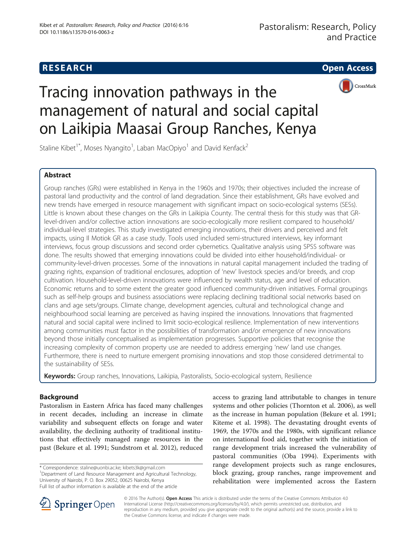# **RESEARCH CHE Open Access**



# Tracing innovation pathways in the management of natural and social capital on Laikipia Maasai Group Ranches, Kenya

Staline Kibet<sup>1\*</sup>, Moses Nyangito<sup>1</sup>, Laban MacOpiyo<sup>1</sup> and David Kenfack<sup>2</sup>

# Abstract

Group ranches (GRs) were established in Kenya in the 1960s and 1970s; their objectives included the increase of pastoral land productivity and the control of land degradation. Since their establishment, GRs have evolved and new trends have emerged in resource management with significant impact on socio-ecological systems (SESs). Little is known about these changes on the GRs in Laikipia County. The central thesis for this study was that GRlevel-driven and/or collective action innovations are socio-ecologically more resilient compared to household/ individual-level strategies. This study investigated emerging innovations, their drivers and perceived and felt impacts, using Il Motiok GR as a case study. Tools used included semi-structured interviews, key informant interviews, focus group discussions and second order cybernetics. Qualitative analysis using SPSS software was done. The results showed that emerging innovations could be divided into either household/individual- or community-level-driven processes. Some of the innovations in natural capital management included the trading of grazing rights, expansion of traditional enclosures, adoption of 'new' livestock species and/or breeds, and crop cultivation. Household-level-driven innovations were influenced by wealth status, age and level of education. Economic returns and to some extent the greater good influenced community-driven initiatives. Formal groupings such as self-help groups and business associations were replacing declining traditional social networks based on clans and age sets/groups. Climate change, development agencies, cultural and technological change and neighbourhood social learning are perceived as having inspired the innovations. Innovations that fragmented natural and social capital were inclined to limit socio-ecological resilience. Implementation of new interventions among communities must factor in the possibilities of transformation and/or emergence of new innovations beyond those initially conceptualised as implementation progresses. Supportive policies that recognise the increasing complexity of common property use are needed to address emerging 'new' land use changes. Furthermore, there is need to nurture emergent promising innovations and stop those considered detrimental to the sustainability of SESs.

Keywords: Group ranches, Innovations, Laikipia, Pastoralists, Socio-ecological system, Resilience

# Background

Pastoralism in Eastern Africa has faced many challenges in recent decades, including an increase in climate variability and subsequent effects on forage and water availability, the declining authority of traditional institutions that effectively managed range resources in the past (Bekure et al. [1991;](#page-11-0) Sundstrom et al. [2012\)](#page-12-0), reduced

\* Correspondence: [staline@uonbi.ac.ke](mailto:staline@uonbi.ac.ke); [kibets3k@gmail.com](mailto:kibets3k@gmail.com) <sup>1</sup>

<sup>1</sup>Department of Land Resource Management and Agricultural Technology, University of Nairobi, P. O. Box 29052, 00625 Nairobi, Kenya

access to grazing land attributable to changes in tenure systems and other policies (Thornton et al. 2006), as well as the increase in human population (Bekure et al. [1991](#page-11-0); Kiteme et al. [1998](#page-11-0)). The devastating drought events of 1969, the 1970s and the 1980s, with significant reliance on international food aid, together with the initiation of range development trials increased the vulnerability of pastoral communities (Oba [1994\)](#page-12-0). Experiments with range development projects such as range enclosures, block grazing, group ranches, range improvement and rehabilitation were implemented across the Eastern



© 2016 The Author(s). Open Access This article is distributed under the terms of the Creative Commons Attribution 4.0 International License ([http://creativecommons.org/licenses/by/4.0/\)](http://creativecommons.org/licenses/by/4.0/), which permits unrestricted use, distribution, and reproduction in any medium, provided you give appropriate credit to the original author(s) and the source, provide a link to the Creative Commons license, and indicate if changes were made.

Full list of author information is available at the end of the article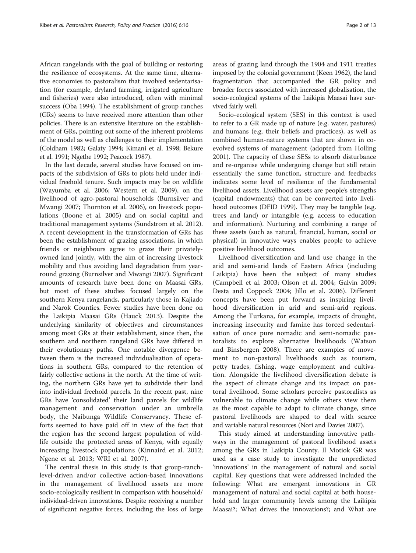African rangelands with the goal of building or restoring the resilience of ecosystems. At the same time, alternative economies to pastoralism that involved sedentarisation (for example, dryland farming, irrigated agriculture and fisheries) were also introduced, often with minimal success (Oba [1994](#page-12-0)). The establishment of group ranches (GRs) seems to have received more attention than other policies. There is an extensive literature on the establishment of GRs, pointing out some of the inherent problems of the model as well as challenges to their implementation (Coldham [1982;](#page-11-0) Galaty [1994](#page-11-0); Kimani et al. [1998;](#page-11-0) Bekure et al. [1991](#page-11-0); Ngethe [1992;](#page-12-0) Peacock 1987).

In the last decade, several studies have focused on impacts of the subdivision of GRs to plots held under individual freehold tenure. Such impacts may be on wildlife (Wayumba et al. [2006;](#page-12-0) Western et al. [2009\)](#page-12-0), on the livelihood of agro-pastoral households (Burnsilver and Mwangi [2007;](#page-11-0) Thornton et al. 2006), on livestock populations (Boone et al. [2005](#page-11-0)) and on social capital and traditional management systems (Sundstrom et al. [2012](#page-12-0)). A recent development in the transformation of GRs has been the establishment of grazing associations, in which friends or neighbours agree to graze their privatelyowned land jointly, with the aim of increasing livestock mobility and thus avoiding land degradation from yearround grazing (Burnsilver and Mwangi [2007](#page-11-0)). Significant amounts of research have been done on Maasai GRs, but most of these studies focused largely on the southern Kenya rangelands, particularly those in Kajiado and Narok Counties. Fewer studies have been done on the Laikipia Maasai GRs (Hauck [2013\)](#page-11-0). Despite the underlying similarity of objectives and circumstances among most GRs at their establishment, since then, the southern and northern rangeland GRs have differed in their evolutionary paths. One notable divergence between them is the increased individualisation of operations in southern GRs, compared to the retention of fairly collective actions in the north. At the time of writing, the northern GRs have yet to subdivide their land into individual freehold parcels. In the recent past, nine GRs have 'consolidated' their land parcels for wildlife management and conservation under an umbrella body, the Naibunga Wildlife Conservancy. These efforts seemed to have paid off in view of the fact that the region has the second largest population of wildlife outside the protected areas of Kenya, with equally increasing livestock populations (Kinnaird et al. [2012](#page-11-0); Ngene et al. [2013](#page-12-0); WRI et al. [2007\)](#page-12-0).

The central thesis in this study is that group-ranchlevel-driven and/or collective action-based innovations in the management of livelihood assets are more socio-ecologically resilient in comparison with household/ individual-driven innovations. Despite receiving a number of significant negative forces, including the loss of large

areas of grazing land through the 1904 and 1911 treaties imposed by the colonial government (Keen [1962](#page-11-0)), the land fragmentation that accompanied the GR policy and broader forces associated with increased globalisation, the socio-ecological systems of the Laikipia Maasai have survived fairly well.

Socio-ecological system (SES) in this context is used to refer to a GR made up of nature (e.g. water, pastures) and humans (e.g. their beliefs and practices), as well as combined human-nature systems that are shown in coevolved systems of management (adopted from Holling [2001](#page-11-0)). The capacity of these SESs to absorb disturbance and re-organise while undergoing change but still retain essentially the same function, structure and feedbacks indicates some level of resilience of the fundamental livelihood assets. Livelihood assets are people's strengths (capital endowments) that can be converted into livelihood outcomes (DFID [1999\)](#page-11-0). They may be tangible (e.g. trees and land) or intangible (e.g. access to education and information). Nurturing and combining a range of these assets (such as natural, financial, human, social or physical) in innovative ways enables people to achieve positive livelihood outcomes.

Livelihood diversification and land use change in the arid and semi-arid lands of Eastern Africa (including Laikipia) have been the subject of many studies (Campbell et al. [2003](#page-11-0); Olson et al. [2004;](#page-12-0) Galvin [2009](#page-11-0); Desta and Coppock [2004](#page-11-0); Jillo et al. [2006\)](#page-11-0). Different concepts have been put forward as inspiring livelihood diversification in arid and semi-arid regions. Among the Turkana, for example, impacts of drought, increasing insecurity and famine has forced sedentarisation of once pure nomadic and semi-nomadic pastoralists to explore alternative livelihoods (Watson and Binsbergen [2008\)](#page-12-0). There are examples of movement to non-pastoral livelihoods such as tourism, petty trades, fishing, wage employment and cultivation. Alongside the livelihood diversification debate is the aspect of climate change and its impact on pastoral livelihood. Some scholars perceive pastoralists as vulnerable to climate change while others view them as the most capable to adapt to climate change, since pastoral livelihoods are shaped to deal with scarce and variable natural resources (Nori and Davies [2007\)](#page-12-0).

This study aimed at understanding innovative pathways in the management of pastoral livelihood assets among the GRs in Laikipia County. Il Motiok GR was used as a case study to investigate the unpredicted 'innovations' in the management of natural and social capital. Key questions that were addressed included the following: What are emergent innovations in GR management of natural and social capital at both household and larger community levels among the Laikipia Maasai?; What drives the innovations?; and What are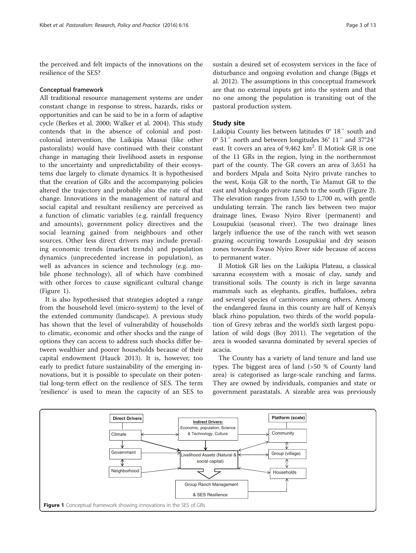the perceived and felt impacts of the innovations on the resilience of the SES?

#### Conceptual framework

All traditional resource management systems are under constant change in response to stress, hazards, risks or opportunities and can be said to be in a form of adaptive cycle (Berkes et al. [2000;](#page-11-0) Walker et al. [2004\)](#page-12-0). This study contends that in the absence of colonial and postcolonial intervention, the Laikipia Maasai (like other pastoralists) would have continued with their constant change in managing their livelihood assets in response to the uncertainty and unpredictability of their ecosystems due largely to climate dynamics. It is hypothesised that the creation of GRs and the accompanying policies altered the trajectory and probably also the rate of that change. Innovations in the management of natural and social capital and resultant resiliency are perceived as a function of climatic variables (e.g. rainfall frequency and amounts), government policy directives and the social learning gained from neighbours and other sources. Other less direct drivers may include prevailing economic trends (market trends) and population dynamics (unprecedented increase in population), as well as advances in science and technology (e.g. mobile phone technology), all of which have combined with other forces to cause significant cultural change (Figure 1).

It is also hypothesised that strategies adopted a range from the household level (micro-system) to the level of the extended community (landscape). A previous study has shown that the level of vulnerability of households to climatic, economic and other shocks and the range of options they can access to address such shocks differ between wealthier and poorer households because of their capital endowment (Hauck [2013](#page-11-0)). It is, however, too early to predict future sustainability of the emerging innovations, but it is possible to speculate on their potential long-term effect on the resilience of SES. The term 'resilience' is used to mean the capacity of an SES to

sustain a desired set of ecosystem services in the face of disturbance and ongoing evolution and change (Biggs et al. [2012\)](#page-11-0). The assumptions in this conceptual framework are that no external inputs get into the system and that no one among the population is transiting out of the pastoral production system.

### Study site

Laikipia County lies between latitudes 0° 18″ south and 0° 51″ north and between longitudes 36° 11″ and 37°24′ east. It covers an area of 9,462 km<sup>2</sup>. Il Motiok GR is one of the 11 GRs in the region, lying in the northernmost part of the county. The GR covers an area of 3,651 ha and borders Mpala and Soita Nyiro private ranches to the west, Koija GR to the north, Tie Mamut GR to the east and Mukogodo private ranch to the south (Figure [2](#page-3-0)). The elevation ranges from 1,550 to 1,700 m, with gentle undulating terrain. The ranch lies between two major drainage lines, Ewaso Nyiro River (permanent) and Losupukiai (seasonal river). The two drainage lines largely influence the use of the ranch with wet season grazing occurring towards Losupukiai and dry season zones towards Ewaso Nyiro River side because of access to permanent water.

Il Motiok GR lies on the Laikipia Plateau, a classical savanna ecosystem with a mosaic of clay, sandy and transitional soils. The county is rich in large savanna mammals such as elephants, giraffes, buffaloes, zebra and several species of carnivores among others. Among the endangered fauna in this county are half of Kenya's black rhino population, two thirds of the world population of Grevy zebras and the world's sixth largest population of wild dogs (Boy [2011\)](#page-11-0). The vegetation of the area is wooded savanna dominated by several species of acacia.

The County has a variety of land tenure and land use types. The biggest area of land (>50 % of County land area) is categorised as large-scale ranching and farms. They are owned by individuals, companies and state or government parastatals. A sizeable area was previously

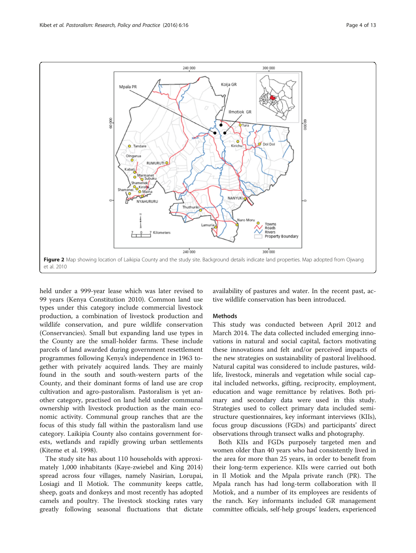<span id="page-3-0"></span>

held under a 999-year lease which was later revised to 99 years (Kenya Constitution [2010](#page-11-0)). Common land use types under this category include commercial livestock production, a combination of livestock production and wildlife conservation, and pure wildlife conservation (Conservancies). Small but expanding land use types in the County are the small-holder farms. These include parcels of land awarded during government resettlement programmes following Kenya's independence in 1963 together with privately acquired lands. They are mainly found in the south and south-western parts of the County, and their dominant forms of land use are crop cultivation and agro-pastoralism. Pastoralism is yet another category, practised on land held under communal ownership with livestock production as the main economic activity. Communal group ranches that are the focus of this study fall within the pastoralism land use category. Laikipia County also contains government forests, wetlands and rapidly growing urban settlements (Kiteme et al. [1998](#page-11-0)).

The study site has about 110 households with approximately 1,000 inhabitants (Kaye-zwiebel and King [2014](#page-11-0)) spread across four villages, namely Nasirian, Lorupai, Losiagi and Il Motiok. The community keeps cattle, sheep, goats and donkeys and most recently has adopted camels and poultry. The livestock stocking rates vary greatly following seasonal fluctuations that dictate availability of pastures and water. In the recent past, active wildlife conservation has been introduced.

## Methods

This study was conducted between April 2012 and March 2014. The data collected included emerging innovations in natural and social capital, factors motivating these innovations and felt and/or perceived impacts of the new strategies on sustainability of pastoral livelihood. Natural capital was considered to include pastures, wildlife, livestock, minerals and vegetation while social capital included networks, gifting, reciprocity, employment, education and wage remittance by relatives. Both primary and secondary data were used in this study. Strategies used to collect primary data included semistructure questionnaires, key informant interviews (KIIs), focus group discussions (FGDs) and participants' direct observations through transect walks and photography.

Both KIIs and FGDs purposely targeted men and women older than 40 years who had consistently lived in the area for more than 25 years, in order to benefit from their long-term experience. KIIs were carried out both in Il Motiok and the Mpala private ranch (PR). The Mpala ranch has had long-term collaboration with Il Motiok, and a number of its employees are residents of the ranch. Key informants included GR management committee officials, self-help groups' leaders, experienced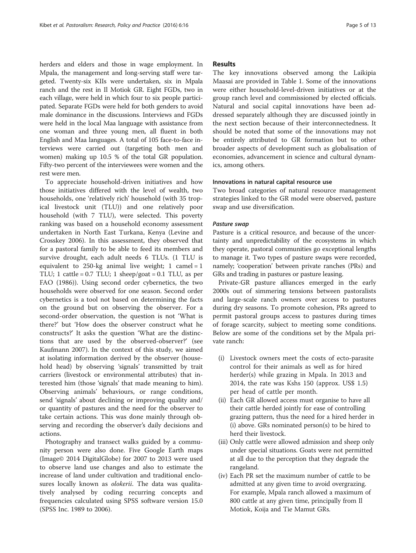herders and elders and those in wage employment. In Mpala, the management and long-serving staff were targeted. Twenty-six KIIs were undertaken, six in Mpala ranch and the rest in Il Motiok GR. Eight FGDs, two in each village, were held in which four to six people participated. Separate FGDs were held for both genders to avoid male dominance in the discussions. Interviews and FGDs were held in the local Maa language with assistance from one woman and three young men, all fluent in both English and Maa languages. A total of 105 face-to-face interviews were carried out (targeting both men and women) making up 10.5 % of the total GR population. Fifty-two percent of the interviewees were women and the rest were men.

To appreciate household-driven initiatives and how those initiatives differed with the level of wealth, two households, one 'relatively rich' household (with 35 tropical livestock unit (TLU)) and one relatively poor household (with 7 TLU), were selected. This poverty ranking was based on a household economy assessment undertaken in North East Turkana, Kenya (Levine and Crosskey [2006\)](#page-11-0). In this assessment, they observed that for a pastoral family to be able to feed its members and survive drought, each adult needs 6 TLUs. (1 TLU is equivalent to 250-kg animal live weight; 1 camel =  $1$ TLU; 1 cattle =  $0.7$  TLU; 1 sheep/goat =  $0.1$  TLU, as per FAO ([1986\)](#page-11-0)). Using second order cybernetics, the two households were observed for one season. Second order cybernetics is a tool not based on determining the facts on the ground but on observing the observer. For a second-order observation, the question is not 'What is there?' but 'How does the observer construct what he constructs?' It asks the question 'What are the distinctions that are used by the observed-observer?' (see Kaufmann [2007](#page-11-0)). In the context of this study, we aimed at isolating information derived by the observer (household head) by observing 'signals' transmitted by trait carriers (livestock or environmental attributes) that interested him (those 'signals' that made meaning to him). Observing animals' behaviours, or range conditions, send 'signals' about declining or improving quality and/ or quantity of pastures and the need for the observer to take certain actions. This was done mainly through observing and recording the observer's daily decisions and actions.

Photography and transect walks guided by a community person were also done. Five Google Earth maps (Image© 2014 DigitalGlobe) for 2007 to 2013 were used to observe land use changes and also to estimate the increase of land under cultivation and traditional enclosures locally known as *olokerii*. The data was qualitatively analysed by coding recurring concepts and frequencies calculated using SPSS software version 15.0 (SPSS Inc. 1989 to 2006).

## Results

The key innovations observed among the Laikipia Maasai are provided in Table [1.](#page-5-0) Some of the innovations were either household-level-driven initiatives or at the group ranch level and commissioned by elected officials. Natural and social capital innovations have been addressed separately although they are discussed jointly in the next section because of their interconnectedness. It should be noted that some of the innovations may not be entirely attributed to GR formation but to other broader aspects of development such as globalisation of economies, advancement in science and cultural dynamics, among others.

#### Innovations in natural capital resource use

Two broad categories of natural resource management strategies linked to the GR model were observed, pasture swap and use diversification.

#### Pasture swap

Pasture is a critical resource, and because of the uncertainty and unpredictability of the ecosystems in which they operate, pastoral communities go exceptional lengths to manage it. Two types of pasture swaps were recorded, namely; 'cooperation' between private ranches (PRs) and GRs and trading in pastures or pasture leasing.

Private-GR pasture alliances emerged in the early 2000s out of simmering tensions between pastoralists and large-scale ranch owners over access to pastures during dry seasons. To promote cohesion, PRs agreed to permit pastoral groups access to pastures during times of forage scarcity, subject to meeting some conditions. Below are some of the conditions set by the Mpala private ranch:

- (i) Livestock owners meet the costs of ecto-parasite control for their animals as well as for hired herder(s) while grazing in Mpala. In 2013 and 2014, the rate was Kshs 150 (approx. US\$ 1.5) per head of cattle per month.
- (ii) Each GR allowed access must organise to have all their cattle herded jointly for ease of controlling grazing pattern, thus the need for a hired herder in (i) above. GRs nominated person(s) to be hired to herd their livestock.
- (iii) Only cattle were allowed admission and sheep only under special situations. Goats were not permitted at all due to the perception that they degrade the rangeland.
- (iv) Each PR set the maximum number of cattle to be admitted at any given time to avoid overgrazing. For example, Mpala ranch allowed a maximum of 800 cattle at any given time, principally from Il Motiok, Koija and Tie Mamut GRs.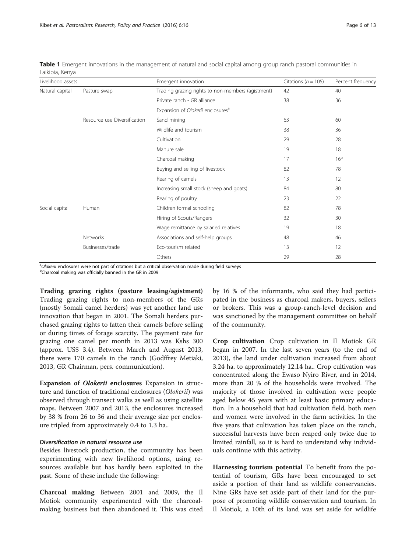<span id="page-5-0"></span>

|                 | Table 1 Emergent innovations in the management of natural and social capital among group ranch pastoral communities in |  |
|-----------------|------------------------------------------------------------------------------------------------------------------------|--|
| Laikipia, Kenya |                                                                                                                        |  |

| Livelihood assets |                              | Emergent innovation<br>Trading grazing rights to non-members (agistment) | Citations ( $n = 105$ ) | Percent frequency |
|-------------------|------------------------------|--------------------------------------------------------------------------|-------------------------|-------------------|
| Natural capital   | Pasture swap                 |                                                                          | 42                      | 40                |
|                   |                              | Private ranch - GR alliance                                              | 38                      | 36                |
|                   |                              | Expansion of Olokerii enclosures <sup>a</sup>                            |                         |                   |
|                   | Resource use Diversification | Sand mining                                                              | 63                      | 60                |
|                   |                              | Wildlife and tourism                                                     | 38                      | 36                |
|                   |                              | Cultivation                                                              | 29                      | 28                |
|                   |                              | Manure sale                                                              | 19                      | 18                |
|                   |                              | Charcoal making                                                          | 17                      | 16 <sup>b</sup>   |
|                   |                              | Buying and selling of livestock                                          | 82                      | 78                |
|                   |                              | Rearing of camels                                                        | 13                      | 12                |
|                   |                              | Increasing small stock (sheep and goats)                                 | 84                      | 80                |
|                   |                              | Rearing of poultry                                                       | 23                      | 22                |
| Social capital    | Human                        | Children formal schooling                                                | 82                      | 78                |
|                   |                              | Hiring of Scouts/Rangers                                                 | 32                      | 30                |
|                   |                              | Wage remittance by salaried relatives                                    | 19                      | 18                |
|                   | <b>Networks</b>              | Associations and self-help groups                                        | 48                      | 46                |
|                   | Businesses/trade             | Eco-tourism related                                                      | 13                      | 12                |
|                   |                              | Others                                                                   | 29                      | 28                |

<sup>a</sup>Olokerii enclosures were not part of citations but a critical observation made during field surveys<br>PCharcoal making was officially banned in the GR in 2009

Charcoal making was officially banned in the GR in 2009

Trading grazing rights (pasture leasing/agistment) Trading grazing rights to non-members of the GRs (mostly Somali camel herders) was yet another land use innovation that began in 2001. The Somali herders purchased grazing rights to fatten their camels before selling or during times of forage scarcity. The payment rate for grazing one camel per month in 2013 was Kshs 300 (approx. US\$ 3.4). Between March and August 2013, there were 170 camels in the ranch (Godffrey Metiaki, 2013, GR Chairman, pers. communication).

Expansion of Olokerii enclosures Expansion in structure and function of traditional enclosures (Olokerii) was observed through transect walks as well as using satellite maps. Between 2007 and 2013, the enclosures increased by 38 % from 26 to 36 and their average size per enclosure tripled from approximately 0.4 to 1.3 ha..

#### Diversification in natural resource use

Besides livestock production, the community has been experimenting with new livelihood options, using resources available but has hardly been exploited in the past. Some of these include the following:

Charcoal making Between 2001 and 2009, the Il Motiok community experimented with the charcoalmaking business but then abandoned it. This was cited by 16 % of the informants, who said they had participated in the business as charcoal makers, buyers, sellers or brokers. This was a group-ranch-level decision and was sanctioned by the management committee on behalf of the community.

Crop cultivation Crop cultivation in Il Motiok GR began in 2007. In the last seven years (to the end of 2013), the land under cultivation increased from about 3.24 ha. to approximately 12.14 ha.. Crop cultivation was concentrated along the Ewaso Nyiro River, and in 2014, more than 20 % of the households were involved. The majority of those involved in cultivation were people aged below 45 years with at least basic primary education. In a household that had cultivation field, both men and women were involved in the farm activities. In the five years that cultivation has taken place on the ranch, successful harvests have been reaped only twice due to limited rainfall, so it is hard to understand why individuals continue with this activity.

Harnessing tourism potential To benefit from the potential of tourism, GRs have been encouraged to set aside a portion of their land as wildlife conservancies. Nine GRs have set aside part of their land for the purpose of promoting wildlife conservation and tourism. In Il Motiok, a 10th of its land was set aside for wildlife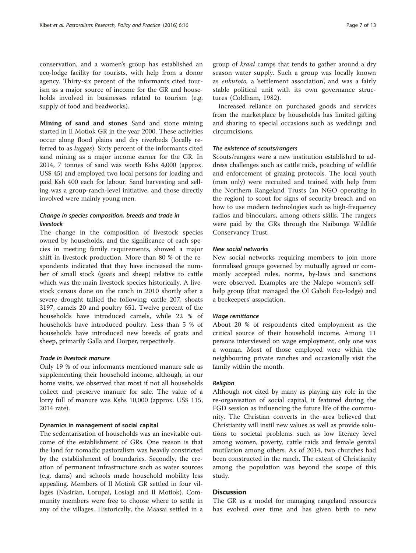conservation, and a women's group has established an eco-lodge facility for tourists, with help from a donor agency. Thirty-six percent of the informants cited tourism as a major source of income for the GR and households involved in businesses related to tourism (e.g. supply of food and beadworks).

Mining of sand and stones Sand and stone mining started in Il Motiok GR in the year 2000. These activities occur along flood plains and dry riverbeds (locally referred to as luggas). Sixty percent of the informants cited sand mining as a major income earner for the GR. In 2014, 7 tonnes of sand was worth Kshs 4,000 (approx. US\$ 45) and employed two local persons for loading and paid Ksh 400 each for labour. Sand harvesting and selling was a group-ranch-level initiative, and those directly involved were mainly young men.

## Change in species composition, breeds and trade in livestock

The change in the composition of livestock species owned by households, and the significance of each species in meeting family requirements, showed a major shift in livestock production. More than 80 % of the respondents indicated that they have increased the number of small stock (goats and sheep) relative to cattle which was the main livestock species historically. A livestock census done on the ranch in 2010 shortly after a severe drought tallied the following: cattle 207, shoats 3197, camels 20 and poultry 651. Twelve percent of the households have introduced camels, while 22 % of households have introduced poultry. Less than 5 % of households have introduced new breeds of goats and sheep, primarily Galla and Dorper, respectively.

## Trade in livestock manure

Only 19 % of our informants mentioned manure sale as supplementing their household income, although, in our home visits, we observed that most if not all households collect and preserve manure for sale. The value of a lorry full of manure was Kshs 10,000 (approx. US\$ 115, 2014 rate).

#### Dynamics in management of social capital

The sedentarisation of households was an inevitable outcome of the establishment of GRs. One reason is that the land for nomadic pastoralism was heavily constricted by the establishment of boundaries. Secondly, the creation of permanent infrastructure such as water sources (e.g. dams) and schools made household mobility less appealing. Members of Il Motiok GR settled in four villages (Nasirian, Lorupai, Losiagi and Il Motiok). Community members were free to choose where to settle in any of the villages. Historically, the Maasai settled in a group of kraal camps that tends to gather around a dry season water supply. Such a group was locally known as enkutoto, <sup>a</sup> 'settlement association', and was a fairly stable political unit with its own governance structures (Coldham, [1982\)](#page-11-0).

Increased reliance on purchased goods and services from the marketplace by households has limited gifting and sharing to special occasions such as weddings and circumcisions.

#### The existence of scouts/rangers

Scouts/rangers were a new institution established to address challenges such as cattle raids, poaching of wildlife and enforcement of grazing protocols. The local youth (men only) were recruited and trained with help from the Northern Rangeland Trusts (an NGO operating in the region) to scout for signs of security breach and on how to use modern technologies such as high-frequency radios and binoculars, among others skills. The rangers were paid by the GRs through the Naibunga Wildlife Conservancy Trust.

#### New social networks

New social networks requiring members to join more formalised groups governed by mutually agreed or commonly accepted rules, norms, by-laws and sanctions were observed. Examples are the Nalepo women's selfhelp group (that managed the Ol Gaboli Eco-lodge) and a beekeepers' association.

#### Wage remittance

About 20 % of respondents cited employment as the critical source of their household income. Among 11 persons interviewed on wage employment, only one was a woman. Most of those employed were within the neighbouring private ranches and occasionally visit the family within the month.

#### Religion

Although not cited by many as playing any role in the re-organisation of social capital, it featured during the FGD session as influencing the future life of the community. The Christian converts in the area believed that Christianity will instil new values as well as provide solutions to societal problems such as low literacy level among women, poverty, cattle raids and female genital mutilation among others. As of 2014, two churches had been constructed in the ranch. The extent of Christianity among the population was beyond the scope of this study.

## **Discussion**

The GR as a model for managing rangeland resources has evolved over time and has given birth to new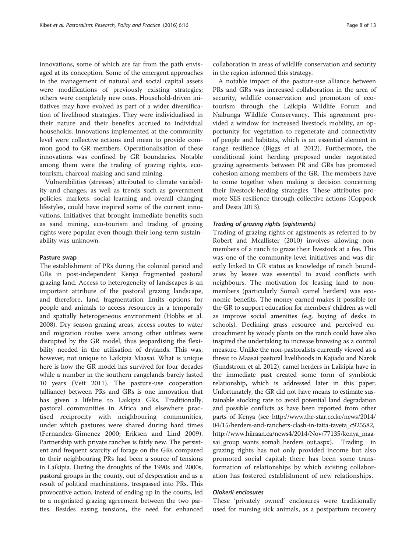innovations, some of which are far from the path envisaged at its conception. Some of the emergent approaches in the management of natural and social capital assets were modifications of previously existing strategies; others were completely new ones. Household-driven initiatives may have evolved as part of a wider diversification of livelihood strategies. They were individualised in their nature and their benefits accrued to individual households. Innovations implemented at the community level were collective actions and mean to provide common good to GR members. Operationalisation of these innovations was confined by GR boundaries. Notable among them were the trading of grazing rights, ecotourism, charcoal making and sand mining.

Vulnerabilities (stresses) attributed to climate variability and changes, as well as trends such as government policies, markets, social learning and overall changing lifestyles, could have inspired some of the current innovations. Initiatives that brought immediate benefits such as sand mining, eco-tourism and trading of grazing rights were popular even though their long-term sustainability was unknown.

#### Pasture swap

The establishment of PRs during the colonial period and GRs in post-independent Kenya fragmented pastoral grazing land. Access to heterogeneity of landscapes is an important attribute of the pastoral grazing landscape, and therefore, land fragmentation limits options for people and animals to access resources in a temporally and spatially heterogeneous environment (Hobbs et al. [2008](#page-11-0)). Dry season grazing areas, access routes to water and migration routes were among other utilities were disrupted by the GR model, thus jeopardising the flexibility needed in the utilisation of drylands. This was, however, not unique to Laikipia Maasai. What is unique here is how the GR model has survived for four decades while a number in the southern rangelands barely lasted 10 years (Veit [2011](#page-12-0)). The pasture-use cooperation (alliance) between PRs and GRs is one innovation that has given a lifeline to Laikipia GRs. Traditionally, pastoral communities in Africa and elsewhere practised reciprocity with neighbouring communities, under which pastures were shared during hard times (Fernandez-Gimenez [2000;](#page-11-0) Eriksen and Lind [2009](#page-11-0)). Partnership with private ranches is fairly new. The persistent and frequent scarcity of forage on the GRs compared to their neighbouring PRs had been a source of tensions in Laikipia. During the droughts of the 1990s and 2000s, pastoral groups in the county, out of desperation and as a result of political machinations, trespassed into PRs. This provocative action, instead of ending up in the courts, led to a negotiated grazing agreement between the two parties. Besides easing tensions, the need for enhanced

collaboration in areas of wildlife conservation and security in the region informed this strategy.

A notable impact of the pasture-use alliance between PRs and GRs was increased collaboration in the area of security, wildlife conservation and promotion of ecotourism through the Laikipia Wildlife Forum and Naibunga Wildlife Conservancy. This agreement provided a window for increased livestock mobility, an opportunity for vegetation to regenerate and connectivity of people and habitats, which is an essential element in range resilience (Biggs et al. [2012\)](#page-11-0). Furthermore, the conditional joint herding proposed under negotiated grazing agreements between PR and GRs has promoted cohesion among members of the GR. The members have to come together when making a decision concerning their livestock-herding strategies. These attributes promote SES resilience through collective actions (Coppock and Desta [2013](#page-11-0)).

#### Trading of grazing rights (agistments)

Trading of grazing rights or agistments as referred to by Robert and Mcallister [\(2010\)](#page-12-0) involves allowing nonmembers of a ranch to graze their livestock at a fee. This was one of the community-level initiatives and was directly linked to GR status as knowledge of ranch boundaries by lessee was essential to avoid conflicts with neighbours. The motivation for leasing land to nonmembers (particularly Somali camel herders) was economic benefits. The money earned makes it possible for the GR to support education for members' children as well as improve social amenities (e.g. buying of desks in schools). Declining grass resource and perceived encroachment by woody plants on the ranch could have also inspired the undertaking to increase browsing as a control measure. Unlike the non-pastoralists currently viewed as a threat to Maasai pastoral livelihoods in Kajiado and Narok (Sundstrom et al. [2012\)](#page-12-0), camel herders in Laikipia have in the immediate past created some form of symbiotic relationship, which is addressed later in this paper. Unfortunately, the GR did not have means to estimate sustainable stocking rate to avoid potential land degradation and possible conflicts as have been reported from other parts of Kenya (see [http://www.the-star.co.ke/news/2014/](http://www.the-star.co.ke/news/2014/04/15/herders-and-ranchers-clash-in-taita-taveta_c925582) [04/15/herders-and-ranchers-clash-in-taita-taveta\\_c925582](http://www.the-star.co.ke/news/2014/04/15/herders-and-ranchers-clash-in-taita-taveta_c925582), [http://www.hiiraan.ca/news4/2014/Nov/77135/kenya\\_maa](http://www.hiiraan.ca/news4/2014/Nov/77135/kenya_maasai_group_wants_somali_herders_out.aspx)[sai\\_group\\_wants\\_somali\\_herders\\_out.aspx](http://www.hiiraan.ca/news4/2014/Nov/77135/kenya_maasai_group_wants_somali_herders_out.aspx)). Trading in grazing rights has not only provided income but also promoted social capital; there has been some transformation of relationships by which existing collaboration has fostered establishment of new relationships.

## Olokerii enclosures

These 'privately owned' enclosures were traditionally used for nursing sick animals, as a postpartum recovery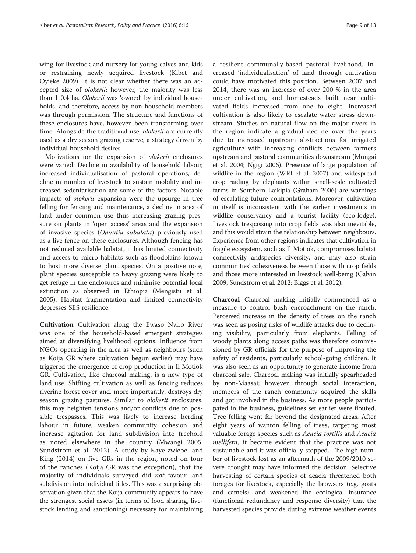wing for livestock and nursery for young calves and kids or restraining newly acquired livestock (Kibet and Oyieke [2009\)](#page-11-0). It is not clear whether there was an accepted size of olokerii; however, the majority was less than 1 0.4 ha. Olokerii was 'owned' by individual households, and therefore, access by non-household members was through permission. The structure and functions of these enclosures have, however, been transforming over time. Alongside the traditional use, olokerii are currently used as a dry season grazing reserve, a strategy driven by individual household desires.

Motivations for the expansion of olokerii enclosures were varied. Decline in availability of household labour, increased individualisation of pastoral operations, decline in number of livestock to sustain mobility and increased sedentarisation are some of the factors. Notable impacts of olokerii expansion were the upsurge in tree felling for fencing and maintenance, a decline in area of land under common use thus increasing grazing pressure on plants in 'open access' areas and the expansion of invasive species (Opuntia subalata) previously used as a live fence on these enclosures. Although fencing has not reduced available habitat, it has limited connectivity and access to micro-habitats such as floodplains known to host more diverse plant species. On a positive note, plant species susceptible to heavy grazing were likely to get refuge in the enclosures and minimise potential local extinction as observed in Ethiopia (Mengistu et al. [2005](#page-11-0)). Habitat fragmentation and limited connectivity depresses SES resilience.

Cultivation Cultivation along the Ewaso Nyiro River was one of the household-based emergent strategies aimed at diversifying livelihood options. Influence from NGOs operating in the area as well as neighbours (such as Koija GR where cultivation begun earlier) may have triggered the emergence of crop production in Il Motiok GR. Cultivation, like charcoal making, is a new type of land use. Shifting cultivation as well as fencing reduces riverine forest cover and, more importantly, destroys dry season grazing pastures. Similar to olokerii enclosures, this may heighten tensions and/or conflicts due to possible trespasses. This was likely to increase herding labour in future, weaken community cohesion and increase agitation for land subdivision into freehold as noted elsewhere in the country (Mwangi [2005](#page-12-0); Sundstrom et al. [2012](#page-12-0)). A study by Kaye-zwiebel and King ([2014](#page-11-0)) on five GRs in the region, noted on four of the ranches (Koija GR was the exception), that the majority of individuals surveyed did not favour land subdivision into individual titles. This was a surprising observation given that the Koija community appears to have the strongest social assets (in terms of food sharing, livestock lending and sanctioning) necessary for maintaining a resilient communally-based pastoral livelihood. Increased 'individualisation' of land through cultivation could have motivated this position. Between 2007 and 2014, there was an increase of over 200 % in the area under cultivation, and homesteads built near cultivated fields increased from one to eight. Increased cultivation is also likely to escalate water stress downstream. Studies on natural flow on the major rivers in the region indicate a gradual decline over the years due to increased upstream abstractions for irrigated agriculture with increasing conflicts between farmers upstream and pastoral communities downstream (Mungai et al. [2004](#page-12-0); Ngigi [2006](#page-12-0)). Presence of large population of wildlife in the region (WRI et al. [2007](#page-12-0)) and widespread crop raiding by elephants within small-scale cultivated farms in Southern Laikipia (Graham [2006\)](#page-11-0) are warnings of escalating future confrontations. Moreover, cultivation in itself is inconsistent with the earlier investments in wildlife conservancy and a tourist facility (eco-lodge). Livestock trespassing into crop fields was also inevitable, and this would strain the relationship between neighbours. Experience from other regions indicates that cultivation in fragile ecosystem, such as Il Motiok, compromises habitat connectivity andspecies diversity, and may also strain communities' cohesiveness between those with crop fields and those more interested in livestock well-being (Galvin [2009;](#page-11-0) Sundstrom et al. [2012](#page-12-0); Biggs et al. [2012](#page-11-0)).

Charcoal Charcoal making initially commenced as a measure to control bush encroachment on the ranch. Perceived increase in the density of trees on the ranch was seen as posing risks of wildlife attacks due to declining visibility, particularly from elephants. Felling of woody plants along access paths was therefore commissioned by GR officials for the purpose of improving the safety of residents, particularly school-going children. It was also seen as an opportunity to generate income from charcoal sale. Charcoal making was initially spearheaded by non-Maasai; however, through social interaction, members of the ranch community acquired the skills and got involved in the business. As more people participated in the business, guidelines set earlier were flouted. Tree felling went far beyond the designated areas. After eight years of wanton felling of trees, targeting most valuable forage species such as Acacia tortilis and Acacia mellifera, it became evident that the practice was not sustainable and it was officially stopped. The high number of livestock lost as an aftermath of the 2009/2010 severe drought may have informed the decision. Selective harvesting of certain species of acacia threatened both forages for livestock, especially the browsers (e.g. goats and camels), and weakened the ecological insurance (functional redundancy and response diversity) that the harvested species provide during extreme weather events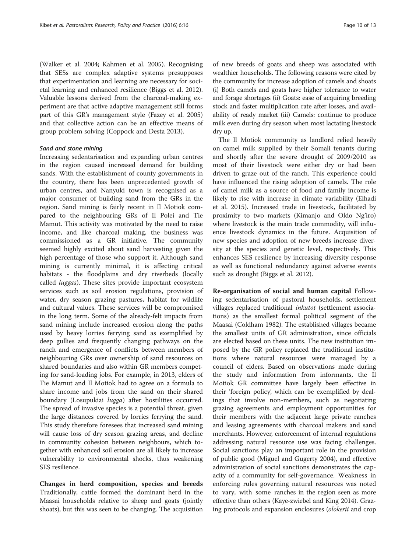(Walker et al. [2004](#page-12-0); Kahmen et al. [2005](#page-11-0)). Recognising that SESs are complex adaptive systems presupposes that experimentation and learning are necessary for societal learning and enhanced resilience (Biggs et al. [2012](#page-11-0)). Valuable lessons derived from the charcoal-making experiment are that active adaptive management still forms part of this GR's management style (Fazey et al. [2005](#page-11-0)) and that collective action can be an effective means of group problem solving (Coppock and Desta [2013\)](#page-11-0).

#### Sand and stone mining

Increasing sedentarisation and expanding urban centres in the region caused increased demand for building sands. With the establishment of county governments in the country, there has been unprecedented growth of urban centres, and Nanyuki town is recognised as a major consumer of building sand from the GRs in the region. Sand mining is fairly recent in Il Motiok compared to the neighbouring GRs of Il Polei and Tie Mamut. This activity was motivated by the need to raise income, and like charcoal making, the business was commissioned as a GR initiative. The community seemed highly excited about sand harvesting given the high percentage of those who support it. Although sand mining is currently minimal, it is affecting critical habitats - the floodplains and dry riverbeds (locally called luggas). These sites provide important ecosystem services such as soil erosion regulations, provision of water, dry season grazing pastures, habitat for wildlife and cultural values. These services will be compromised in the long term. Some of the already-felt impacts from sand mining include increased erosion along the paths used by heavy lorries ferrying sand as exemplified by deep gullies and frequently changing pathways on the ranch and emergence of conflicts between members of neighbouring GRs over ownership of sand resources on shared boundaries and also within GR members competing for sand-loading jobs. For example, in 2013, elders of Tie Mamut and Il Motiok had to agree on a formula to share income and jobs from the sand on their shared boundary (Losupukiai lugga) after hostilities occurred. The spread of invasive species is a potential threat, given the large distances covered by lorries ferrying the sand. This study therefore foresees that increased sand mining will cause loss of dry season grazing areas, and decline in community cohesion between neighbours, which together with enhanced soil erosion are all likely to increase vulnerability to environmental shocks, thus weakening SES resilience.

Changes in herd composition, species and breeds Traditionally, cattle formed the dominant herd in the Maasai households relative to sheep and goats (jointly shoats), but this was seen to be changing. The acquisition

of new breeds of goats and sheep was associated with wealthier households. The following reasons were cited by the community for increase adoption of camels and shoats (i) Both camels and goats have higher tolerance to water and forage shortages (ii) Goats: ease of acquiring breeding stock and faster multiplication rate after losses, and availability of ready market (iii) Camels: continue to produce milk even during dry season when most lactating livestock dry up.

The Il Motiok community as landlord relied heavily on camel milk supplied by their Somali tenants during and shortly after the severe drought of 2009/2010 as most of their livestock were either dry or had been driven to graze out of the ranch. This experience could have influenced the rising adoption of camels. The role of camel milk as a source of food and family income is likely to rise with increase in climate variability (Elhadi et al. [2015](#page-11-0)). Increased trade in livestock, facilitated by proximity to two markets (Kimanjo and Oldo Ng'iro) where livestock is the main trade commodity, will influence livestock dynamics in the future. Acquisition of new species and adoption of new breeds increase diversity at the species and genetic level, respectively. This enhances SES resilience by increasing diversity response as well as functional redundancy against adverse events such as drought (Biggs et al. [2012](#page-11-0)).

Re-organisation of social and human capital Following sedentarisation of pastoral households, settlement villages replaced traditional inkutot (settlement associations) as the smallest formal political segment of the Maasai (Coldham [1982\)](#page-11-0). The established villages became the smallest units of GR administration, since officials are elected based on these units. The new institution imposed by the GR policy replaced the traditional institutions where natural resources were managed by a council of elders. Based on observations made during the study and information from informants, the Il Motiok GR committee have largely been effective in their 'foreign policy', which can be exemplified by dealings that involve non-members, such as negotiating grazing agreements and employment opportunities for their members with the adjacent large private ranches and leasing agreements with charcoal makers and sand merchants. However, enforcement of internal regulations addressing natural resource use was facing challenges. Social sanctions play an important role in the provision of public good (Miguel and Gugerty [2004\)](#page-11-0), and effective administration of social sanctions demonstrates the capacity of a community for self-governance. Weakness in enforcing rules governing natural resources was noted to vary, with some ranches in the region seen as more effective than others (Kaye-zwiebel and King [2014](#page-11-0)). Grazing protocols and expansion enclosures (olokerii and crop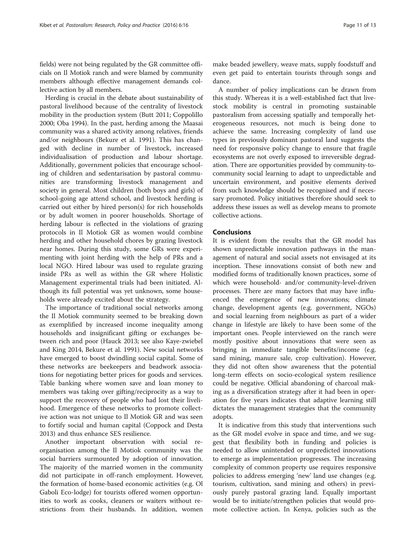fields) were not being regulated by the GR committee officials on Il Motiok ranch and were blamed by community members although effective management demands collective action by all members.

Herding is crucial in the debate about sustainability of pastoral livelihood because of the centrality of livestock mobility in the production system (Butt [2011;](#page-11-0) Coppolillo [2000](#page-11-0); Oba [1994\)](#page-12-0). In the past, herding among the Maasai community was a shared activity among relatives, friends and/or neighbours (Bekure et al. [1991](#page-11-0)). This has changed with decline in number of livestock, increased individualisation of production and labour shortage. Additionally, government policies that encourage schooling of children and sedentarisation by pastoral communities are transforming livestock management and society in general. Most children (both boys and girls) of school-going age attend school, and livestock herding is carried out either by hired person(s) for rich households or by adult women in poorer households. Shortage of herding labour is reflected in the violations of grazing protocols in Il Motiok GR as women would combine herding and other household chores by grazing livestock near homes. During this study, some GRs were experimenting with joint herding with the help of PRs and a local NGO. Hired labour was used to regulate grazing inside PRs as well as within the GR where Holistic Management experimental trials had been initiated. Although its full potential was yet unknown, some households were already excited about the strategy.

The importance of traditional social networks among the Il Motiok community seemed to be breaking down as exemplified by increased income inequality among households and insignificant gifting or exchanges between rich and poor (Hauck [2013;](#page-11-0) see also Kaye-zwiebel and King [2014,](#page-11-0) Bekure et al. [1991\)](#page-11-0). New social networks have emerged to boost dwindling social capital. Some of these networks are beekeepers and beadwork associations for negotiating better prices for goods and services. Table banking where women save and loan money to members was taking over gifting/reciprocity as a way to support the recovery of people who had lost their livelihood. Emergence of these networks to promote collective action was not unique to Il Motiok GR and was seen to fortify social and human capital (Coppock and Desta [2013](#page-11-0)) and thus enhance SES resilience.

Another important observation with social reorganisation among the Il Motiok community was the social barriers surmounted by adoption of innovation. The majority of the married women in the community did not participate in off-ranch employment. However, the formation of home-based economic activities (e.g. Ol Gaboli Eco-lodge) for tourists offered women opportunities to work as cooks, cleaners or waiters without restrictions from their husbands. In addition, women

make beaded jewellery, weave mats, supply foodstuff and even get paid to entertain tourists through songs and dance.

A number of policy implications can be drawn from this study. Whereas it is a well-established fact that livestock mobility is central in promoting sustainable pastoralism from accessing spatially and temporally heterogeneous resources, not much is being done to achieve the same. Increasing complexity of land use types in previously dominant pastoral land suggests the need for responsive policy change to ensure that fragile ecosystems are not overly exposed to irreversible degradation. There are opportunities provided by community-tocommunity social learning to adapt to unpredictable and uncertain environment, and positive elements derived from such knowledge should be recognised and if necessary promoted. Policy initiatives therefore should seek to address these issues as well as develop means to promote collective actions.

#### Conclusions

It is evident from the results that the GR model has shown unpredictable innovation pathways in the management of natural and social assets not envisaged at its inception. These innovations consist of both new and modified forms of traditionally known practices, some of which were household- and/or community-level-driven processes. There are many factors that may have influenced the emergence of new innovations; climate change, development agents (e.g. government, NGOs) and social learning from neighbours as part of a wider change in lifestyle are likely to have been some of the important ones. People interviewed on the ranch were mostly positive about innovations that were seen as bringing in immediate tangible benefits/income (e.g. sand mining, manure sale, crop cultivation). However, they did not often show awareness that the potential long-term effects on socio-ecological system resilience could be negative. Official abandoning of charcoal making as a diversification strategy after it had been in operation for five years indicates that adaptive learning still dictates the management strategies that the community adopts.

It is indicative from this study that interventions such as the GR model evolve in space and time, and we suggest that flexibility both in funding and policies is needed to allow unintended or unpredicted innovations to emerge as implementation progresses. The increasing complexity of common property use requires responsive policies to address emerging 'new' land use changes (e.g. tourism, cultivation, sand mining and others) in previously purely pastoral grazing land. Equally important would be to initiate/strengthen policies that would promote collective action. In Kenya, policies such as the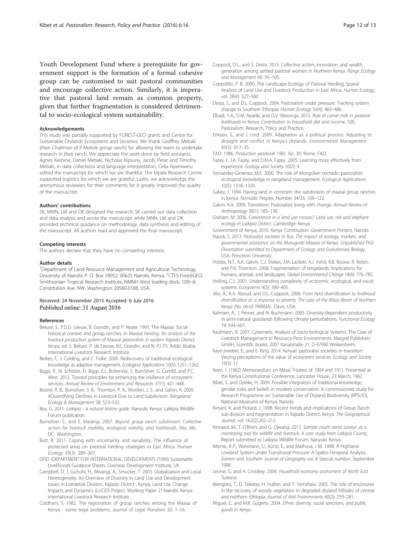<span id="page-11-0"></span>Youth Development Fund where a prerequisite for government support is the formation of a formal cohesive group can be customised to suit pastoral communities and encourage collective action. Similarly, it is imperative that pastoral land remain as common property, given that further fragmentation is considered detrimental to socio-ecological system sustainability.

#### Acknowledgements

This study was partially supported by FOREST-GEO grants and Centre for Sustainable Drylands Ecosystems and Societies. We thank Godffrey Metiaki (then Chairman of Il Motiok group ranch) for allowing the team to undertake research in their ranch. We appreciate the work done by field assistants, Agnes Keshine, Daniel Metiaki, Nicholas Kipsuny, Jacob, Peter and Timothy Metiaki, in data collections and language interpretation. Celia Nyamweru edited the manuscript for which we are thankful. The Mpala Research Centre supported logistics for which we are grateful. Lastly, we acknowledge the anonymous reviewers for their comments for it greatly improved the quality of the manuscript.

#### Authors' contributions

SK, MMN, LM and DK designed the research; SK carried out data collection and data analysis and wrote the manuscript while MNN, LM and DK provided technical guidance on methodology, data synthesis and editing of the manuscript. All authors read and approved the final manuscript.

#### Competing interests

The authors declare that they have no competing interests.

#### Author details

<sup>1</sup>Department of Land Resource Management and Agricultural Technology, University of Nairobi, P. O. Box 29052, 00625 Nairobi, Kenya. <sup>2</sup>CTFS-ForestGEO, Smithsonian Tropical Research Institute, NMNH West loading dock, 10th & Constitution Ave. NW, Washington 20560-0188, USA.

#### Received: 24 November 2015 Accepted: 6 July 2016 Published online: 31 August 2016

#### References

- Bekure, S., P.D.D. Leeuw, B. Grandin, and P. Neate. 1991. The Maasai: Socialhistorical context and group ranches. In Maasai herding: An analysis of the livestock production system of Maasai pastoralists in eastern Kajiado District, Kenya, ed. S. Bekure, P. de Leeuw, B.E. Grandin, and N. PJ. PJ. Addis Ababa: International Livestock Research Institute.
- Berkes, F., J. Colding, and C. Folke. 2000. Rediscovery of traditional ecological knowledge as adaptive management. Ecological Applications 10(5): 1251-1262.
- Biggs, R., M. Schlüter, D. Biggs, E.L. Bohensky, S. BurnSilver, G. Cundill, and P.C. West. 2012. Toward principles for enhancing the resilience of ecosystem services. Annual Review of Environment and Resources 37(1): 421–448.
- Boone, R. B., Burnsilver, S. B., Thornton, P. K., Worden, J. S., and Galvin, K. 2005. AQuantifying Declines in Livestock Due to Land Subdivision. Rangeland Ecology & Management 58: 523–532.
- Boy, G. 2011. Laikipia a natural history guide. Nanyuki, Kenya: Laikipia Wildlife Forum publication.
- Burnsilver, S., and E. Mwangi. 2007. Beyond group ranch subdivision: Collective action for livestock mobility, ecological viability, and livelihoods, (No. 66). DC: Washington.
- Butt, B. 2011. Coping with uncertainty and variability: The influence of protected areas on pastoral herding strategies in East Africa. Human Ecology 39(3): 289–307.
- DFID (DEPARTMENT FOR INTERNATIONAL DEVELOPMENT) (1999) Sustainable Livelihoods Guidance Sheets. Overseas Development Institute, UK.
- Campbell, D. J, Gichohi, H., Mwangi, A., Smucker, T. 2003. Globalization and Local Heterogeneity: An Overview of Diversity in Land Use and Development Issues in Loitokitok Division, Kajiado District , Kenya. Land Use Change Impacts and Dynamics (LUCID) Project. Working Paper 21.Nairobi, Kenya: International Livestock Research Institute.
- Coldham, S. 1982. The registration of group ranches among the Maasai of Kenya - some legal problems. Journal of Legal Pluralism 20: 1–16.
- Coppolillo, P. B. 2000. The Landscape Ecology of Pastoral Herding: Spatial Analysis of Land Use and Livestock Production in East Africa. Human Ecology, vol. 28(4): 527–560
- Desta, S., and D.L. Coppock. 2004. Pastoralism under pressure: Tracking system change in Southern Ethiopia. Human Ecology 32(4): 465–486.
- Elhadi, Y.A., D.M. Nyariki, and O.V. Wasonga. 2015. Role of camel milk in pastoral livelihoods in Kenya: Contribution to household diet and income, 5(8). Pastoralism: Research, Policy and Practice.
- Eriksen, S., and J. Lind. 2009. Adaptation as a political process: Adjusting to drought and conflict in Kenya's drylands. Environmental Management 43(5): 817–35.
- FAO. 1986. Production yearbook 1985: No. 39.. Rome: FAO.
- Fazey, I., J.A. Fazey, and D.M.A. Fazey. 2005. Learning more effectively from experience. Ecology and Society 10(2): 4.
- Fernandez-Gimenez, M.E. 2000. The role of Mongolian nomadic pastoralists' ecological knowledge in rangeland management. Ecological Applications 10(5): 1318–1326.
- Galaty, J. 1994. Having land in common: the subdivision of maasai group ranches in Kenya. Nomadic Peoples, Number 34/35: 109–122.
- Galvin, K.A. 2009. Transitions: Pastoralists living with change. Annual Review of Anthropology 38(1): 185–198.
- Graham, M. 2006. Coexistence in a land use mosaic? Land use, risk and elephant ecology in Laikipia District. Cambridge: Kenya.
- Government of Kenya, 2010. Kenya Constitution. Government Printers, Nairobi.
- Hauck, S. 2013. Pastoralist societies in flux: The impact of ecology, markets, and governmental assistance on the Mukugodo Maasai of Kenya. Unpublished PhD Dissertation submitted to Department of Ecology and Evolutionary Biology. USA: Princeton University.
- Hobbs, N.T., K.A. Galvin, C.J. Stokes, J.M. Lackett, A.J. Ashd, R.B. Boone, R. Robin, and P.K. Thornton. 2008. Fragmentation of rangelands: Implications for humans, animals, and landscapes. Global Environmental Change 18(4): 776–785.
- Holling, C.S. 2001. Understanding complexity of economic, ecological, and social systems. Ecosystems 4(5): 390–405.
- Jillo, A., A.A. Aboud, and D.L. Coppock. 2006. From herd diversification to livelihood diversification as a response to poverty: The case of the Waso Boran of Northern Kenya (No. 06-05 PARIMA).. Davis, USA.
- Kahmen, A., J. Perner, and N. Buchmann. 2005. Diversity-dependent productivity in semi-natural grasslands following climate perturbations. Functional Ecology 19: 594–601.
- Kaufmann, B. 2007. Cybernetic Analysis of Socio-biological Systems: The Case of Livestock Management in Resource-Poor Environments. Margraf Publishers GmbH, Scientific books, 2007 Kanalstraße 21; D-97990 Weikersheim.
- Kaye-zwiebel, E., and E. King. 2014. Kenyan pastoralist societies in transition: Varying perceptions of the value of ecosystem services. Ecology and Society 19(3): 17.
- Keen, J. (1962) Memorandum on Masai Treaties of 1904 and 1911. Presented at the Kenya Constitutional Conference, Lancaster House, 23 March, 1962
- Kibet, S. and Oyieke, H. 2009. Possible integration of traditional knowledge, gender roles and beliefs in modern conservation. A commissioned study for Research Programme on Sustainable Use of Dryland Biodiversity (RPSUD), National Museums of Kenya, Nairobi.
- Kimani, K. and Pickard, J. 1998. Recent trends and implications of Group Ranch sub-division and fragmentation in Kajiado District, Kenya. The Geographical Journal, vol. 162(2):202–213.
- Kinnaird, M., T. O'Brien, and G. Ojwang. 2012. Sample count aerial surveys as a monitoring tool for wildlife and livestock: A case study from Laikipia County, Report submitted to Laikipia Wildlife Forum, Nanyuki, Kenya.
- Kiteme, B P., Wiesmann, U., Kúnzi, E., and Mathuva, J M. 1998. A Highland-Lowland System under Transitional Pressure: A Spatio-Temporal Analysis. Eastern and Southern Journal of Geography vol. 8 Special number, September 1998.
- Levine, S., and A. Crosskey. 2006. Household economy assessment of North East Turkana.
- Mengistu, T., D. Teketay, H. Hulten, and Y. Yemshaw. 2005. The role of enclosures in the recovery of woody vegetation in degraded dryland hillsides of central and northern Ethiopia. Journal of Arid Environments 60(2): 259–281.
- Miguel, E., and M.K. Gugerty. 2004. Ethnic diversity, social sanctions, and public goods in Kenya.